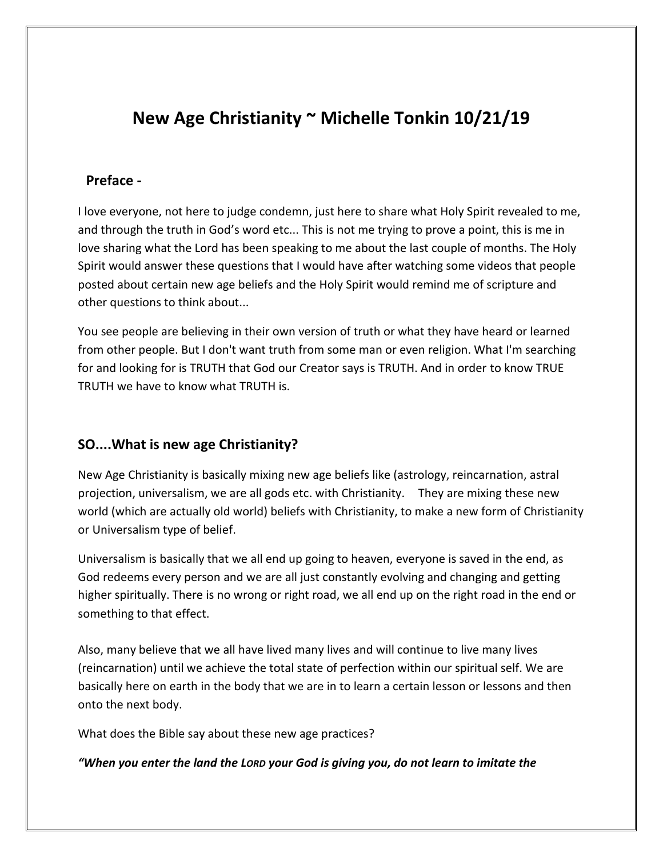# **New Age Christianity ~ Michelle Tonkin 10/21/19**

### **Preface -**

I love everyone, not here to judge condemn, just here to share what Holy Spirit revealed to me, and through the truth in God's word etc... This is not me trying to prove a point, this is me in love sharing what the Lord has been speaking to me about the last couple of months. The Holy Spirit would answer these questions that I would have after watching some videos that people posted about certain new age beliefs and the Holy Spirit would remind me of scripture and other questions to think about...

You see people are believing in their own version of truth or what they have heard or learned from other people. But I don't want truth from some man or even religion. What I'm searching for and looking for is TRUTH that God our Creator says is TRUTH. And in order to know TRUE TRUTH we have to know what TRUTH is.

#### **SO....What is new age Christianity?**

New Age Christianity is basically mixing new age beliefs like (astrology, reincarnation, astral projection, universalism, we are all gods etc. with Christianity. They are mixing these new world (which are actually old world) beliefs with Christianity, to make a new form of Christianity or Universalism type of belief.

Universalism is basically that we all end up going to heaven, everyone is saved in the end, as God redeems every person and we are all just constantly evolving and changing and getting higher spiritually. There is no wrong or right road, we all end up on the right road in the end or something to that effect.

Also, many believe that we all have lived many lives and will continue to live many lives (reincarnation) until we achieve the total state of perfection within our spiritual self. We are basically here on earth in the body that we are in to learn a certain lesson or lessons and then onto the next body.

What does the Bible say about these new age practices?

*"When you enter the land the LORD your God is giving you, do not learn to imitate the*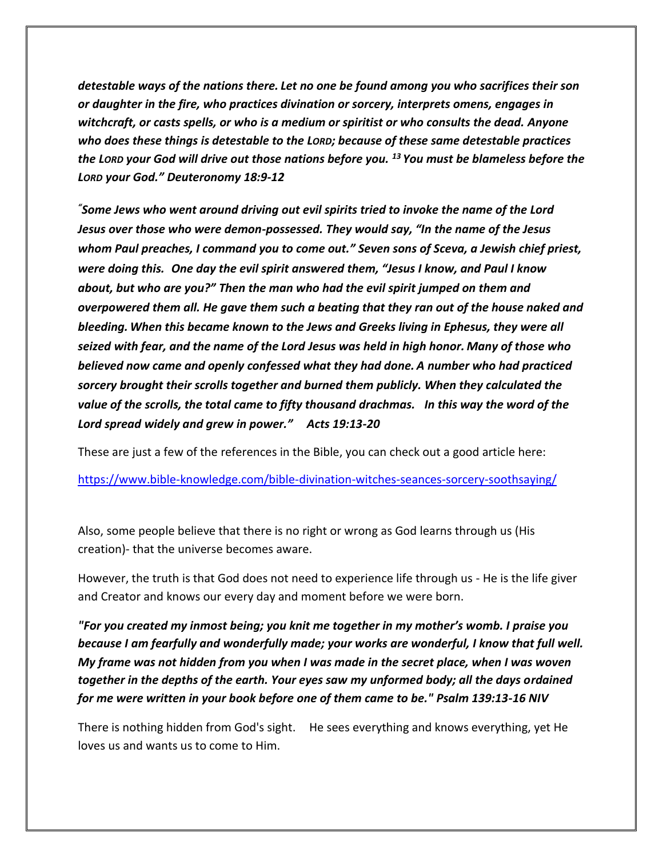*detestable ways of the nations there. Let no one be found among you who sacrifices their son or daughter in the fire, who practices divination or sorcery, interprets omens, engages in witchcraft, or casts spells, or who is a medium or spiritist or who consults the dead. Anyone who does these things is detestable to the LORD; because of these same detestable practices the LORD your God will drive out those nations before you. <sup>13</sup> You must be blameless before the LORD your God." Deuteronomy 18:9-12*

*"Some Jews who went around driving out evil spirits tried to invoke the name of the Lord Jesus over those who were demon-possessed. They would say, "In the name of the Jesus whom Paul preaches, I command you to come out." Seven sons of Sceva, a Jewish chief priest, were doing this. One day the evil spirit answered them, "Jesus I know, and Paul I know about, but who are you?" Then the man who had the evil spirit jumped on them and overpowered them all. He gave them such a beating that they ran out of the house naked and bleeding. When this became known to the Jews and Greeks living in Ephesus, they were all seized with fear, and the name of the Lord Jesus was held in high honor. Many of those who believed now came and openly confessed what they had done. A number who had practiced sorcery brought their scrolls together and burned them publicly. When they calculated the value of the scrolls, the total came to fifty thousand drachmas. In this way the word of the Lord spread widely and grew in power." Acts 19:13-20*

These are just a few of the references in the Bible, you can check out a good article here:

<https://www.bible-knowledge.com/bible-divination-witches-seances-sorcery-soothsaying/>

Also, some people believe that there is no right or wrong as God learns through us (His creation)- that the universe becomes aware.

However, the truth is that God does not need to experience life through us - He is the life giver and Creator and knows our every day and moment before we were born.

*"For you created my inmost being; you knit me together in my mother's womb. I praise you because I am fearfully and wonderfully made; your works are wonderful, I know that full well. My frame was not hidden from you when I was made in the secret place, when I was woven together in the depths of the earth. Your eyes saw my unformed body; all the days ordained for me were written in your book before one of them came to be." Psalm 139:13-16 NIV*

There is nothing hidden from God's sight. He sees everything and knows everything, yet He loves us and wants us to come to Him.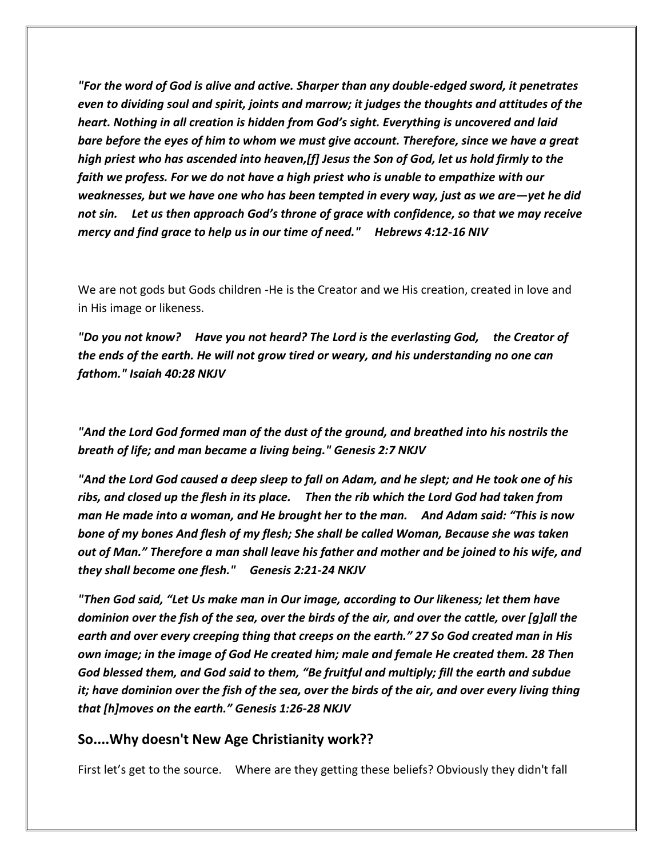*"For the word of God is alive and active. Sharper than any double-edged sword, it penetrates even to dividing soul and spirit, joints and marrow; it judges the thoughts and attitudes of the heart. Nothing in all creation is hidden from God's sight. Everything is uncovered and laid bare before the eyes of him to whom we must give account. Therefore, since we have a great high priest who has ascended into heaven,[f] Jesus the Son of God, let us hold firmly to the faith we profess. For we do not have a high priest who is unable to empathize with our weaknesses, but we have one who has been tempted in every way, just as we are—yet he did not sin. Let us then approach God's throne of grace with confidence, so that we may receive mercy and find grace to help us in our time of need." Hebrews 4:12-16 NIV*

We are not gods but Gods children -He is the Creator and we His creation, created in love and in His image or likeness.

*"Do you not know? Have you not heard? The Lord is the everlasting God, the Creator of the ends of the earth. He will not grow tired or weary, and his understanding no one can fathom." Isaiah 40:28 NKJV*

*"And the Lord God formed man of the dust of the ground, and breathed into his nostrils the breath of life; and man became a living being." Genesis 2:7 NKJV*

*"And the Lord God caused a deep sleep to fall on Adam, and he slept; and He took one of his ribs, and closed up the flesh in its place. Then the rib which the Lord God had taken from man He made into a woman, and He brought her to the man. And Adam said: "This is now bone of my bones And flesh of my flesh; She shall be called Woman, Because she was taken out of Man." Therefore a man shall leave his father and mother and be joined to his wife, and they shall become one flesh." Genesis 2:21-24 NKJV*

*"Then God said, "Let Us make man in Our image, according to Our likeness; let them have dominion over the fish of the sea, over the birds of the air, and over the cattle, over [g]all the earth and over every creeping thing that creeps on the earth." 27 So God created man in His own image; in the image of God He created him; male and female He created them. 28 Then God blessed them, and God said to them, "Be fruitful and multiply; fill the earth and subdue it; have dominion over the fish of the sea, over the birds of the air, and over every living thing that [h]moves on the earth." Genesis 1:26-28 NKJV*

### **So....Why doesn't New Age Christianity work??**

First let's get to the source. Where are they getting these beliefs? Obviously they didn't fall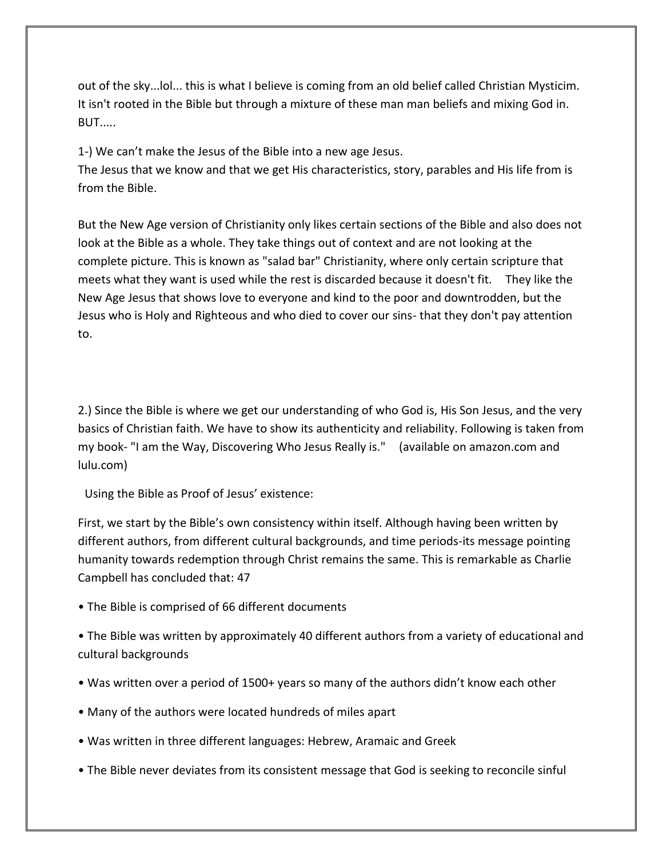out of the sky...lol... this is what I believe is coming from an old belief called Christian Mysticim. It isn't rooted in the Bible but through a mixture of these man man beliefs and mixing God in. BUT.....

1-) We can't make the Jesus of the Bible into a new age Jesus.

The Jesus that we know and that we get His characteristics, story, parables and His life from is from the Bible.

But the New Age version of Christianity only likes certain sections of the Bible and also does not look at the Bible as a whole. They take things out of context and are not looking at the complete picture. This is known as "salad bar" Christianity, where only certain scripture that meets what they want is used while the rest is discarded because it doesn't fit. They like the New Age Jesus that shows love to everyone and kind to the poor and downtrodden, but the Jesus who is Holy and Righteous and who died to cover our sins- that they don't pay attention to.

2.) Since the Bible is where we get our understanding of who God is, His Son Jesus, and the very basics of Christian faith. We have to show its authenticity and reliability. Following is taken from my book- "I am the Way, Discovering Who Jesus Really is." (available on amazon.com and lulu.com)

Using the Bible as Proof of Jesus' existence:

First, we start by the Bible's own consistency within itself. Although having been written by different authors, from different cultural backgrounds, and time periods-its message pointing humanity towards redemption through Christ remains the same. This is remarkable as Charlie Campbell has concluded that: 47

• The Bible is comprised of 66 different documents

• The Bible was written by approximately 40 different authors from a variety of educational and cultural backgrounds

- Was written over a period of 1500+ years so many of the authors didn't know each other
- Many of the authors were located hundreds of miles apart
- Was written in three different languages: Hebrew, Aramaic and Greek
- The Bible never deviates from its consistent message that God is seeking to reconcile sinful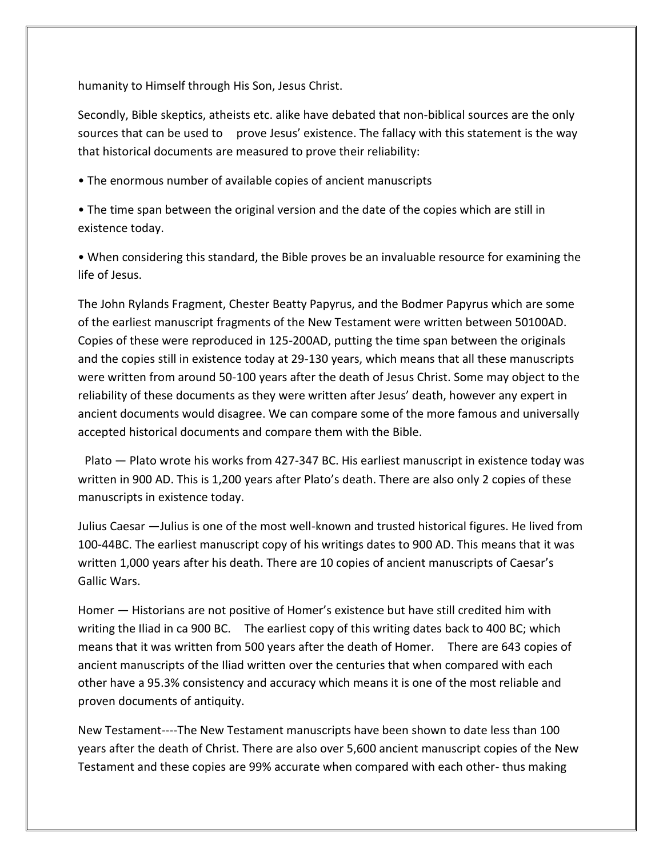humanity to Himself through His Son, Jesus Christ.

Secondly, Bible skeptics, atheists etc. alike have debated that non-biblical sources are the only sources that can be used to prove Jesus' existence. The fallacy with this statement is the way that historical documents are measured to prove their reliability:

• The enormous number of available copies of ancient manuscripts

• The time span between the original version and the date of the copies which are still in existence today.

• When considering this standard, the Bible proves be an invaluable resource for examining the life of Jesus.

The John Rylands Fragment, Chester Beatty Papyrus, and the Bodmer Papyrus which are some of the earliest manuscript fragments of the New Testament were written between 50100AD. Copies of these were reproduced in 125-200AD, putting the time span between the originals and the copies still in existence today at 29-130 years, which means that all these manuscripts were written from around 50-100 years after the death of Jesus Christ. Some may object to the reliability of these documents as they were written after Jesus' death, however any expert in ancient documents would disagree. We can compare some of the more famous and universally accepted historical documents and compare them with the Bible.

Plato — Plato wrote his works from 427-347 BC. His earliest manuscript in existence today was written in 900 AD. This is 1,200 years after Plato's death. There are also only 2 copies of these manuscripts in existence today.

Julius Caesar —Julius is one of the most well-known and trusted historical figures. He lived from 100-44BC. The earliest manuscript copy of his writings dates to 900 AD. This means that it was written 1,000 years after his death. There are 10 copies of ancient manuscripts of Caesar's Gallic Wars.

Homer — Historians are not positive of Homer's existence but have still credited him with writing the Iliad in ca 900 BC. The earliest copy of this writing dates back to 400 BC; which means that it was written from 500 years after the death of Homer. There are 643 copies of ancient manuscripts of the Iliad written over the centuries that when compared with each other have a 95.3% consistency and accuracy which means it is one of the most reliable and proven documents of antiquity.

New Testament----The New Testament manuscripts have been shown to date less than 100 years after the death of Christ. There are also over 5,600 ancient manuscript copies of the New Testament and these copies are 99% accurate when compared with each other- thus making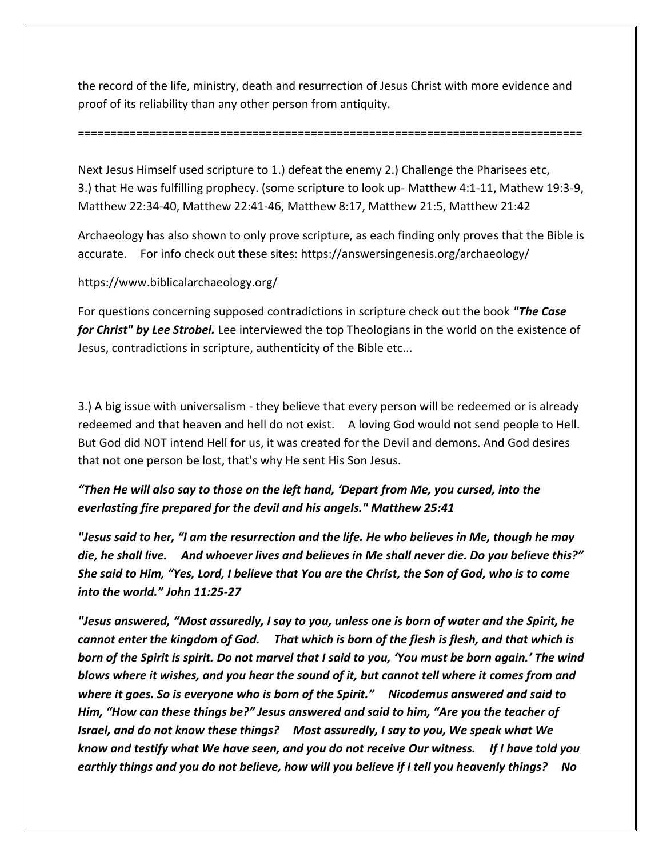the record of the life, ministry, death and resurrection of Jesus Christ with more evidence and proof of its reliability than any other person from antiquity.

#### ==============================================================================

Next Jesus Himself used scripture to 1.) defeat the enemy 2.) Challenge the Pharisees etc, 3.) that He was fulfilling prophecy. (some scripture to look up- Matthew 4:1-11, Mathew 19:3-9, Matthew 22:34-40, Matthew 22:41-46, Matthew 8:17, Matthew 21:5, Matthew 21:42

Archaeology has also shown to only prove scripture, as each finding only proves that the Bible is accurate. For info check out these sites:<https://answersingenesis.org/archaeology/>

<https://www.biblicalarchaeology.org/>

For questions concerning supposed contradictions in scripture check out the book *"The Case for Christ" by Lee Strobel.* Lee interviewed the top Theologians in the world on the existence of Jesus, contradictions in scripture, authenticity of the Bible etc...

3.) A big issue with universalism - they believe that every person will be redeemed or is already redeemed and that heaven and hell do not exist. A loving God would not send people to Hell. But God did NOT intend Hell for us, it was created for the Devil and demons. And God desires that not one person be lost, that's why He sent His Son Jesus.

## *"Then He will also say to those on the left hand, 'Depart from Me, you cursed, into the everlasting fire prepared for the devil and his angels." Matthew 25:41*

*"Jesus said to her, "I am the resurrection and the life. He who believes in Me, though he may die, he shall live. And whoever lives and believes in Me shall never die. Do you believe this?" She said to Him, "Yes, Lord, I believe that You are the Christ, the Son of God, who is to come into the world." John 11:25-27*

*"Jesus answered, "Most assuredly, I say to you, unless one is born of water and the Spirit, he cannot enter the kingdom of God. That which is born of the flesh is flesh, and that which is born of the Spirit is spirit. Do not marvel that I said to you, 'You must be born again.' The wind blows where it wishes, and you hear the sound of it, but cannot tell where it comes from and where it goes. So is everyone who is born of the Spirit." Nicodemus answered and said to Him, "How can these things be?" Jesus answered and said to him, "Are you the teacher of Israel, and do not know these things? Most assuredly, I say to you, We speak what We know and testify what We have seen, and you do not receive Our witness. If I have told you earthly things and you do not believe, how will you believe if I tell you heavenly things? No*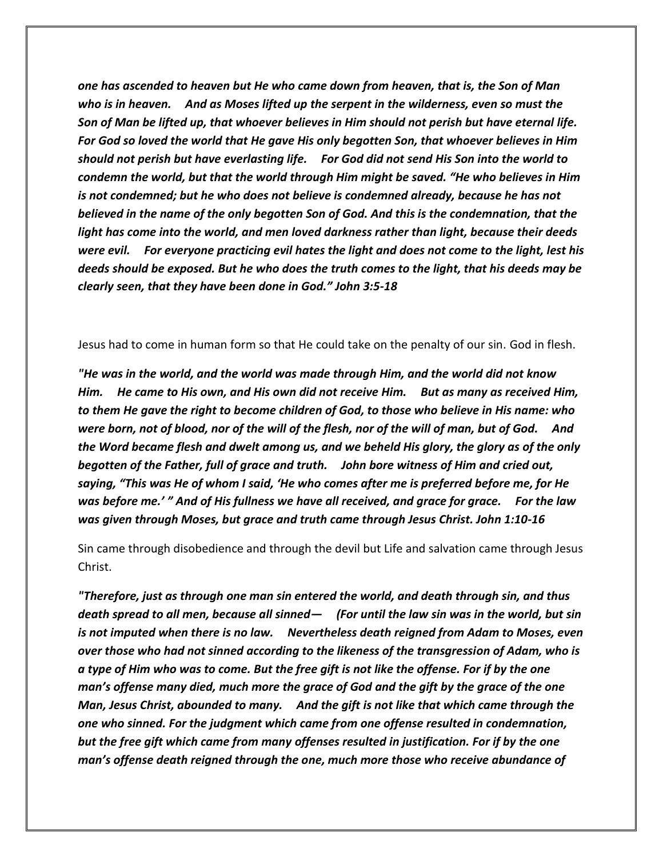*one has ascended to heaven but He who came down from heaven, that is, the Son of Man who is in heaven. And as Moses lifted up the serpent in the wilderness, even so must the Son of Man be lifted up, that whoever believes in Him should not perish but have eternal life. For God so loved the world that He gave His only begotten Son, that whoever believes in Him should not perish but have everlasting life. For God did not send His Son into the world to condemn the world, but that the world through Him might be saved. "He who believes in Him is not condemned; but he who does not believe is condemned already, because he has not believed in the name of the only begotten Son of God. And this is the condemnation, that the light has come into the world, and men loved darkness rather than light, because their deeds were evil. For everyone practicing evil hates the light and does not come to the light, lest his deeds should be exposed. But he who does the truth comes to the light, that his deeds may be clearly seen, that they have been done in God." John 3:5-18*

Jesus had to come in human form so that He could take on the penalty of our sin. God in flesh.

*"He was in the world, and the world was made through Him, and the world did not know Him. He came to His own, and His own did not receive Him. But as many as received Him, to them He gave the right to become children of God, to those who believe in His name: who were born, not of blood, nor of the will of the flesh, nor of the will of man, but of God. And the Word became flesh and dwelt among us, and we beheld His glory, the glory as of the only begotten of the Father, full of grace and truth. John bore witness of Him and cried out, saying, "This was He of whom I said, 'He who comes after me is preferred before me, for He was before me.' " And of His fullness we have all received, and grace for grace. For the law was given through Moses, but grace and truth came through Jesus Christ. John 1:10-16*

Sin came through disobedience and through the devil but Life and salvation came through Jesus Christ.

*"Therefore, just as through one man sin entered the world, and death through sin, and thus death spread to all men, because all sinned— (For until the law sin was in the world, but sin is not imputed when there is no law. Nevertheless death reigned from Adam to Moses, even over those who had not sinned according to the likeness of the transgression of Adam, who is a type of Him who was to come. But the free gift is not like the offense. For if by the one man's offense many died, much more the grace of God and the gift by the grace of the one Man, Jesus Christ, abounded to many. And the gift is not like that which came through the one who sinned. For the judgment which came from one offense resulted in condemnation, but the free gift which came from many offenses resulted in justification. For if by the one man's offense death reigned through the one, much more those who receive abundance of*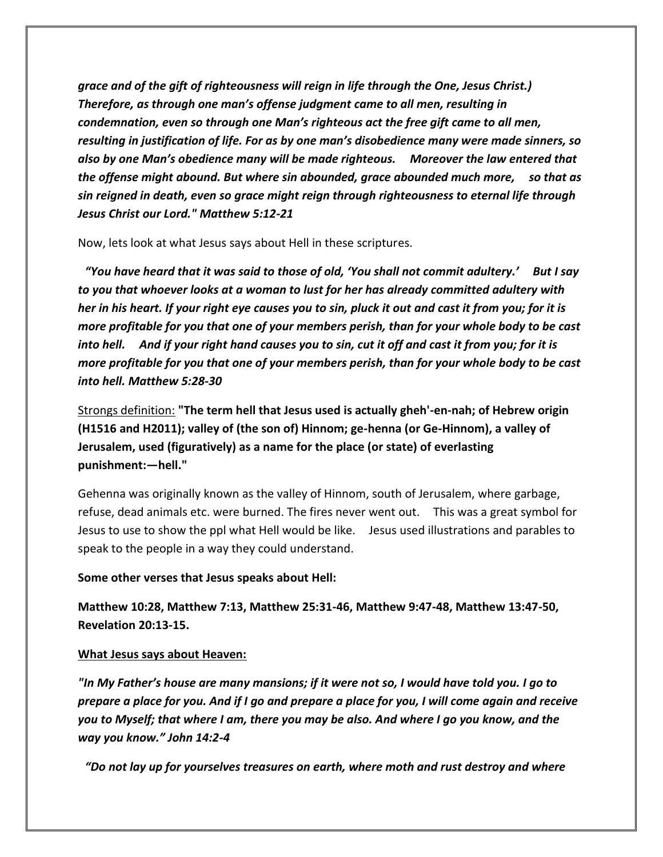*grace and of the gift of righteousness will reign in life through the One, Jesus Christ.) Therefore, as through one man's offense judgment came to all men, resulting in condemnation, even so through one Man's righteous act the free gift came to all men, resulting in justification of life. For as by one man's disobedience many were made sinners, so also by one Man's obedience many will be made righteous. Moreover the law entered that the offense might abound. But where sin abounded, grace abounded much more, so that as sin reigned in death, even so grace might reign through righteousness to eternal life through Jesus Christ our Lord." Matthew 5:12-21*

Now, lets look at what Jesus says about Hell in these scriptures.

*"You have heard that it was said to those of old, 'You shall not commit adultery.' But I say to you that whoever looks at a woman to lust for her has already committed adultery with her in his heart. If your right eye causes you to sin, pluck it out and cast it from you; for it is more profitable for you that one of your members perish, than for your whole body to be cast into hell. And if your right hand causes you to sin, cut it off and cast it from you; for it is more profitable for you that one of your members perish, than for your whole body to be cast into hell. Matthew 5:28-30*

Strongs definition: **"The term hell that Jesus used is actually gheh'-en-nah; of Hebrew origin (H1516 and H2011); valley of (the son of) Hinnom; ge-henna (or Ge-Hinnom), a valley of Jerusalem, used (figuratively) as a name for the place (or state) of everlasting punishment:—hell."**

Gehenna was originally known as the valley of Hinnom, south of Jerusalem, where garbage, refuse, dead animals etc. were burned. The fires never went out. This was a great symbol for Jesus to use to show the ppl what Hell would be like. Jesus used illustrations and parables to speak to the people in a way they could understand.

**Some other verses that Jesus speaks about Hell:**

**Matthew 10:28, Matthew 7:13, Matthew 25:31-46, Matthew 9:47-48, Matthew 13:47-50, Revelation 20:13-15.**

#### **What Jesus says about Heaven:**

*"In My Father's house are many mansions; if it were not so, I would have told you. I go to prepare a place for you. And if I go and prepare a place for you, I will come again and receive you to Myself; that where I am, there you may be also. And where I go you know, and the way you know." John 14:2-4*

*"Do not lay up for yourselves treasures on earth, where moth and rust destroy and where*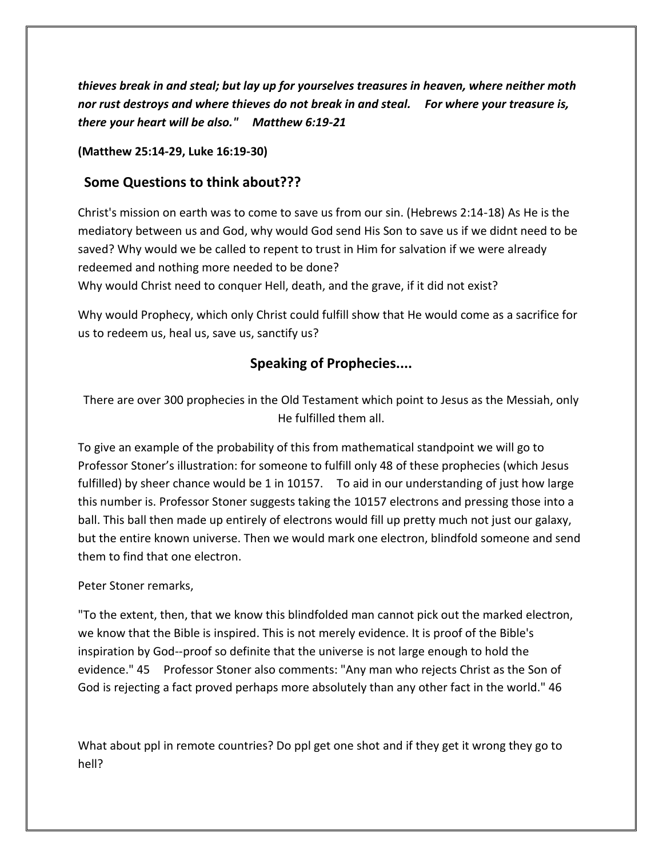*thieves break in and steal; but lay up for yourselves treasures in heaven, where neither moth nor rust destroys and where thieves do not break in and steal. For where your treasure is, there your heart will be also." Matthew 6:19-21*

### **(Matthew 25:14-29, Luke 16:19-30)**

### **Some Questions to think about???**

Christ's mission on earth was to come to save us from our sin. (Hebrews 2:14-18) As He is the mediatory between us and God, why would God send His Son to save us if we didnt need to be saved? Why would we be called to repent to trust in Him for salvation if we were already redeemed and nothing more needed to be done?

Why would Christ need to conquer Hell, death, and the grave, if it did not exist?

Why would Prophecy, which only Christ could fulfill show that He would come as a sacrifice for us to redeem us, heal us, save us, sanctify us?

# **Speaking of Prophecies....**

There are over 300 prophecies in the Old Testament which point to Jesus as the Messiah, only He fulfilled them all.

To give an example of the probability of this from mathematical standpoint we will go to Professor Stoner's illustration: for someone to fulfill only 48 of these prophecies (which Jesus fulfilled) by sheer chance would be 1 in 10157. To aid in our understanding of just how large this number is. Professor Stoner suggests taking the 10157 electrons and pressing those into a ball. This ball then made up entirely of electrons would fill up pretty much not just our galaxy, but the entire known universe. Then we would mark one electron, blindfold someone and send them to find that one electron.

#### Peter Stoner remarks,

"To the extent, then, that we know this blindfolded man cannot pick out the marked electron, we know that the Bible is inspired. This is not merely evidence. It is proof of the Bible's inspiration by God--proof so definite that the universe is not large enough to hold the evidence." 45 Professor Stoner also comments: "Any man who rejects Christ as the Son of God is rejecting a fact proved perhaps more absolutely than any other fact in the world." 46

What about ppl in remote countries? Do ppl get one shot and if they get it wrong they go to hell?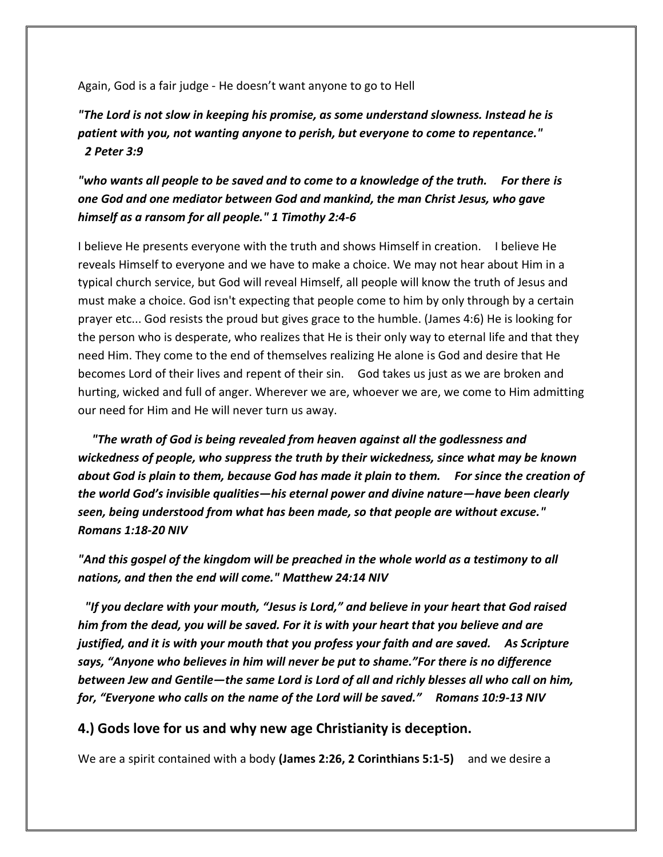Again, God is a fair judge - He doesn't want anyone to go to Hell

*"The Lord is not slow in keeping his promise, as some understand slowness. Instead he is patient with you, not wanting anyone to perish, but everyone to come to repentance." 2 Peter 3:9*

## *"who wants all people to be saved and to come to a knowledge of the truth. For there is one God and one mediator between God and mankind, the man Christ Jesus, who gave himself as a ransom for all people." 1 Timothy 2:4-6*

I believe He presents everyone with the truth and shows Himself in creation. I believe He reveals Himself to everyone and we have to make a choice. We may not hear about Him in a typical church service, but God will reveal Himself, all people will know the truth of Jesus and must make a choice. God isn't expecting that people come to him by only through by a certain prayer etc... God resists the proud but gives grace to the humble. (James 4:6) He is looking for the person who is desperate, who realizes that He is their only way to eternal life and that they need Him. They come to the end of themselves realizing He alone is God and desire that He becomes Lord of their lives and repent of their sin. God takes us just as we are broken and hurting, wicked and full of anger. Wherever we are, whoever we are, we come to Him admitting our need for Him and He will never turn us away.

 *"The wrath of God is being revealed from heaven against all the godlessness and wickedness of people, who suppress the truth by their wickedness, since what may be known about God is plain to them, because God has made it plain to them. For since the creation of the world God's invisible qualities—his eternal power and divine nature—have been clearly seen, being understood from what has been made, so that people are without excuse." Romans 1:18-20 NIV*

*"And this gospel of the kingdom will be preached in the whole world as a testimony to all nations, and then the end will come." Matthew 24:14 NIV*

*"If you declare with your mouth, "Jesus is Lord," and believe in your heart that God raised him from the dead, you will be saved. For it is with your heart that you believe and are justified, and it is with your mouth that you profess your faith and are saved. As Scripture says, "Anyone who believes in him will never be put to shame."For there is no difference between Jew and Gentile—the same Lord is Lord of all and richly blesses all who call on him, for, "Everyone who calls on the name of the Lord will be saved." Romans 10:9-13 NIV*

#### **4.) Gods love for us and why new age Christianity is deception.**

We are a spirit contained with a body **(James 2:26, 2 Corinthians 5:1-5)** and we desire a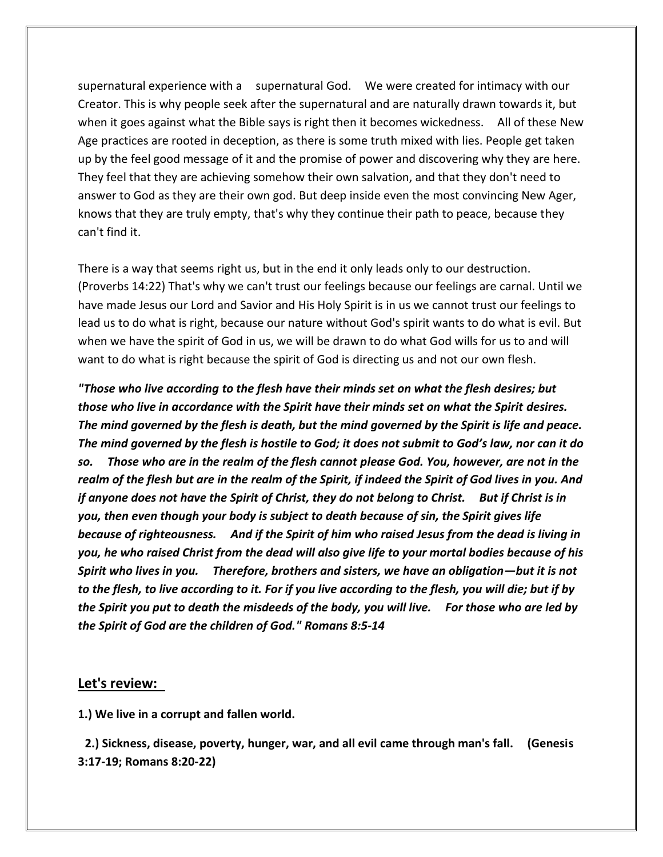supernatural experience with a supernatural God. We were created for intimacy with our Creator. This is why people seek after the supernatural and are naturally drawn towards it, but when it goes against what the Bible says is right then it becomes wickedness. All of these New Age practices are rooted in deception, as there is some truth mixed with lies. People get taken up by the feel good message of it and the promise of power and discovering why they are here. They feel that they are achieving somehow their own salvation, and that they don't need to answer to God as they are their own god. But deep inside even the most convincing New Ager, knows that they are truly empty, that's why they continue their path to peace, because they can't find it.

There is a way that seems right us, but in the end it only leads only to our destruction. (Proverbs 14:22) That's why we can't trust our feelings because our feelings are carnal. Until we have made Jesus our Lord and Savior and His Holy Spirit is in us we cannot trust our feelings to lead us to do what is right, because our nature without God's spirit wants to do what is evil. But when we have the spirit of God in us, we will be drawn to do what God wills for us to and will want to do what is right because the spirit of God is directing us and not our own flesh.

*"Those who live according to the flesh have their minds set on what the flesh desires; but those who live in accordance with the Spirit have their minds set on what the Spirit desires. The mind governed by the flesh is death, but the mind governed by the Spirit is life and peace. The mind governed by the flesh is hostile to God; it does not submit to God's law, nor can it do so. Those who are in the realm of the flesh cannot please God. You, however, are not in the realm of the flesh but are in the realm of the Spirit, if indeed the Spirit of God lives in you. And if anyone does not have the Spirit of Christ, they do not belong to Christ. But if Christ is in you, then even though your body is subject to death because of sin, the Spirit gives life because of righteousness. And if the Spirit of him who raised Jesus from the dead is living in you, he who raised Christ from the dead will also give life to your mortal bodies because of his Spirit who lives in you. Therefore, brothers and sisters, we have an obligation—but it is not to the flesh, to live according to it. For if you live according to the flesh, you will die; but if by the Spirit you put to death the misdeeds of the body, you will live. For those who are led by the Spirit of God are the children of God." Romans 8:5-14*

#### **Let's review:**

**1.) We live in a corrupt and fallen world.** 

**2.) Sickness, disease, poverty, hunger, war, and all evil came through man's fall. (Genesis 3:17-19; Romans 8:20-22)**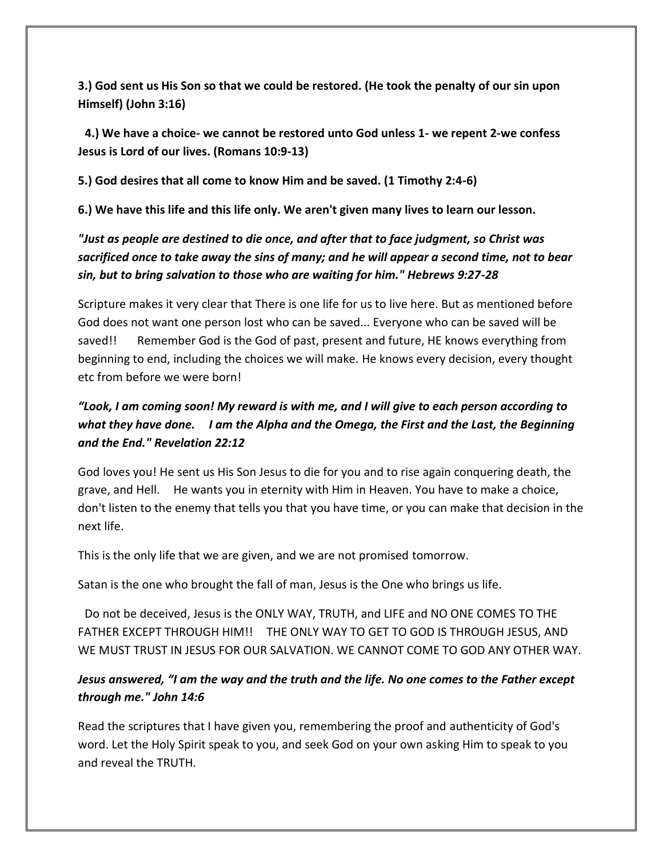**3.) God sent us His Son so that we could be restored. (He took the penalty of our sin upon Himself) (John 3:16)**

**4.) We have a choice- we cannot be restored unto God unless 1- we repent 2-we confess Jesus is Lord of our lives. (Romans 10:9-13)**

**5.) God desires that all come to know Him and be saved. (1 Timothy 2:4-6)**

**6.) We have this life and this life only. We aren't given many lives to learn our lesson.** 

*"Just as people are destined to die once, and after that to face judgment, so Christ was sacrificed once to take away the sins of many; and he will appear a second time, not to bear sin, but to bring salvation to those who are waiting for him." Hebrews 9:27-28*

Scripture makes it very clear that There is one life for us to live here. But as mentioned before God does not want one person lost who can be saved... Everyone who can be saved will be saved!! Remember God is the God of past, present and future, HE knows everything from beginning to end, including the choices we will make. He knows every decision, every thought etc from before we were born!

# *"Look, I am coming soon! My reward is with me, and I will give to each person according to what they have done. I am the Alpha and the Omega, the First and the Last, the Beginning and the End." Revelation 22:12*

God loves you! He sent us His Son Jesus to die for you and to rise again conquering death, the grave, and Hell. He wants you in eternity with Him in Heaven. You have to make a choice, don't listen to the enemy that tells you that you have time, or you can make that decision in the next life.

This is the only life that we are given, and we are not promised tomorrow.

Satan is the one who brought the fall of man, Jesus is the One who brings us life.

Do not be deceived, Jesus is the ONLY WAY, TRUTH, and LIFE and NO ONE COMES TO THE FATHER EXCEPT THROUGH HIM!! THE ONLY WAY TO GET TO GOD IS THROUGH JESUS, AND WE MUST TRUST IN JESUS FOR OUR SALVATION. WE CANNOT COME TO GOD ANY OTHER WAY.

## *Jesus answered, "I am the way and the truth and the life. No one comes to the Father except through me." John 14:6*

Read the scriptures that I have given you, remembering the proof and authenticity of God's word. Let the Holy Spirit speak to you, and seek God on your own asking Him to speak to you and reveal the TRUTH.